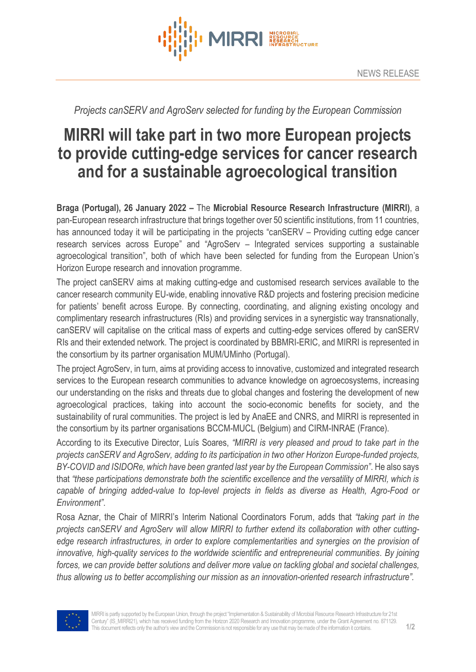

*Projects canSERV and AgroServ selected for funding by the European Commission*

## **MIRRI will take part in two more European projects to provide cutting-edge services for cancer research and for a sustainable agroecological transition**

**Braga (Portugal), 26 January 2022 –** The **Microbial Resource Research Infrastructure (MIRRI)**, a pan-European research infrastructure that brings together over 50 scientific institutions, from 11 countries, has announced today it will be participating in the projects "canSERV – Providing cutting edge cancer research services across Europe" and "AgroServ – Integrated services supporting a sustainable agroecological transition", both of which have been selected for funding from the European Union's Horizon Europe research and innovation programme.

The project canSERV aims at making cutting-edge and customised research services available to the cancer research community EU-wide, enabling innovative R&D projects and fostering precision medicine for patients' benefit across Europe. By connecting, coordinating, and aligning existing oncology and complimentary research infrastructures (RIs) and providing services in a synergistic way transnationally, canSERV will capitalise on the critical mass of experts and cutting-edge services offered by canSERV RIs and their extended network. The project is coordinated by BBMRI-ERIC, and MIRRI is represented in the consortium by its partner organisation MUM/UMinho (Portugal).

The project AgroServ, in turn, aims at providing access to innovative, customized and integrated research services to the European research communities to advance knowledge on agroecosystems, increasing our understanding on the risks and threats due to global changes and fostering the development of new agroecological practices, taking into account the socio-economic benefits for society, and the sustainability of rural communities. The project is led by AnaEE and CNRS, and MIRRI is represented in the consortium by its partner organisations BCCM-MUCL (Belgium) and CIRM-INRAE (France).

According to its Executive Director, Luís Soares, *"MIRRI is very pleased and proud to take part in the projects canSERV and AgroServ, adding to its participation in two other Horizon Europe-funded projects, BY-COVID and ISIDORe, which have been granted last year by the European Commission"*. He also says that *"these participations demonstrate both the scientific excellence and the versatility of MIRRI, which is capable of bringing added-value to top-level projects in fields as diverse as Health, Agro-Food or Environment"*.

Rosa Aznar, the Chair of MIRRI's Interim National Coordinators Forum, adds that *"taking part in the projects canSERV and AgroServ will allow MIRRI to further extend its collaboration with other cuttingedge research infrastructures, in order to explore complementarities and synergies on the provision of innovative, high-quality services to the worldwide scientific and entrepreneurial communities. By joining forces, we can provide better solutions and deliver more value on tackling global and societal challenges, thus allowing us to better accomplishing our mission as an innovation-oriented research infrastructure".*